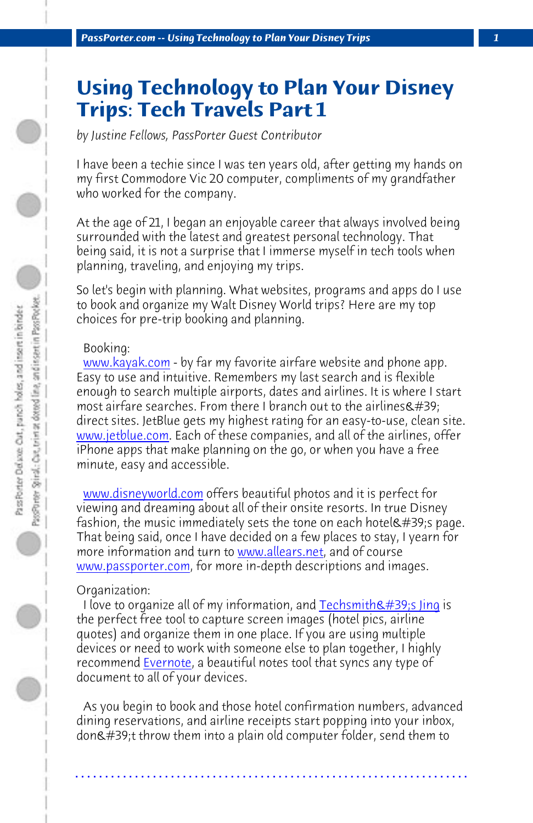*PassPorter.com -- Using Technology to Plan Your Disney Trips 1*

## **Using Technology to Plan Your Disney [Trips: Tec](http://www.kayak.com)h Travels Part 1**

*by Justine Fellows, PassPorter Guest Contributor*

I have been a techie since I was ten years old, after getting my hands on my first Commodore Vic 20 computer, compliments of my grandfather [who worked for th](http://www.jetblue.com)e company.

At the age of 21, I began an enjoyable career that always involved being surrounded with the latest and greatest personal technology. That b[eing said, it is not a sur](http://www.disneyworld.com)prise that I immerse myself in tech tools when planning, traveling, and enjoying my trips.

So let's begin with planning. What websites, programs and apps do I use to book and organize my Walt [Disney World tr](http://www.allears.net)ips? Here are my top [choices for pre-trip b](http://www.passporter.com)ooking and planning.

## Booking:

www.kayak.com - by far my favorite airfare [website and phone app](http://www.techsmith.com/jing). Easy to use and intuitive. Remembers my last search and is flexible enough to search multiple airports, dates and airlines. It is where I start most airfare searches. From there I branch out to the airlines $\&\#39;$ direct sites. [JetBlue ge](http://www.evernote.com)ts my highest rating for an easy-to-use, clean site. www.jetblue.com. Each of these companies, and all of the airlines, offer iPhone apps that make planning on the go, or when you have a free minute, easy and accessible.

 www.disneyworld.com offers beautiful photos and it is perfect for viewing and dreaming about all of their onsite resorts. In true Disney fashion, the music immediately sets the tone on each hotel  $\#39$ ; page. That being said, once I have decided on a few places to stay, I yearn for more information and turn to www.allears.net, and of course www.passporter.com, for more in-depth descriptions and images.

## Organization:

I love to organize all of my information, and Techsmith's Jing is the perfect free tool to capture screen images (hotel pics, airline quotes) and organize them in one place. If you are using multiple devices or need to work with someone else to plan together, I highly recommend Evernote, a beautiful notes tool that syncs any type of document to all of your devices.

 As you begin to book and those hotel confirmation numbers, advanced dining reservations, and airline receipts start popping into your inbox, don't throw them into a plain old computer folder, send them to

**. . . . . . . . . . . . . . . . . . . . . . . . . . . . . . . . . . . . . . . . . . . . . . . . . . . . . . . . . . . . . . . . . .**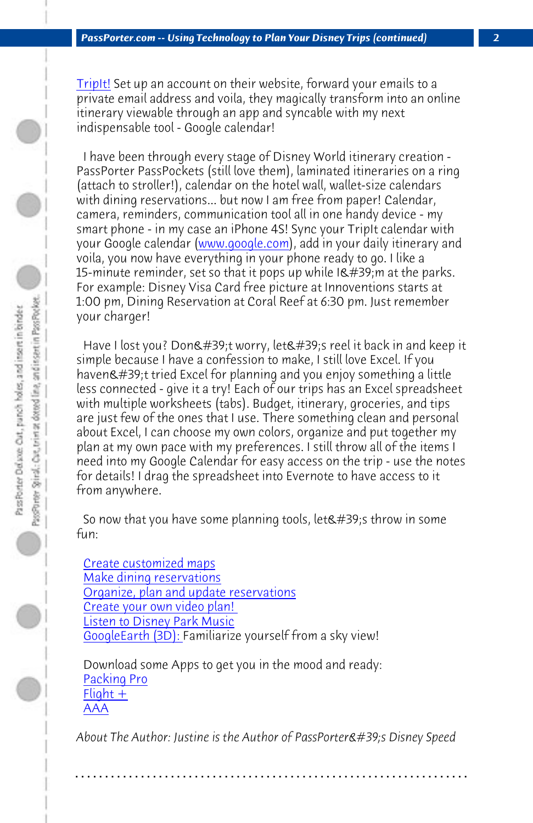*PassPorter.com -- Using Technology to Plan Your Disney Trips (continued) 2*

TripIt! Set up an account on their website, forward your emails to a private email address and voila, they magically transform into an online itinerary viewable through an app and syncable with my next indispensable tool - Google calendar!

 I have been through every stage of Disney World itinerary creation - PassPorter PassPockets (still love them), laminated itineraries on a ring (attach to stroller!), calendar on the hotel wall, wallet-size calendars with dining reservations... but now I am free from paper! Calendar, camera, reminders, communication tool all in one handy device - my smart phone - in my case an iPhone 4S! Sync your TripIt calendar with your Google calendar (www.google.com), add in your daily itinerary and voila, you now have everything in your phone ready to go. I like a 15-minute reminder, set so that it pops up while  $I\&\#39$ ; m at the parks. For example: Disney Visa Card free picture at Innoventions starts at 1:00 pm, Dining Reservation at Coral Reef at 6:30 pm. Just remember y[our charger!](http://customizedmaps.disney.go.com/?CMP=ILC-WDWFY12Q4Cmaps0002)

Have I lost you? Don't worry, let's reel it back in and keep it s[imple because I have a confes](http://disneyvacations.com/dv/en_US/video/index?name=MyDisneyVideoPlannerPage)sion to make, I still love Excel. If you [haven't tried Excel for p](http://www.mouseworldradio.com/)lanning and you enjoy something a little l[ess connected - give](http://www.google.com/earth/index.html) it a try! Each of our trips has an Excel spreadsheet with multiple worksheets (tabs). Budget, itinerary, groceries, and tips are just few of the ones that I use. There something clean and personal a[bout Excel, I](https://itunes.apple.com/us/app/packing-pro/id312266675?mt=8) can choose my own colors, organize and put together my [plan at my](http://flight-plus.com/) own pace with my preferences. I still throw all of the items I [need i](http://itunes.apple.com/us/app/aaa-mobile/id310730297?mt=8)nto my Google Calendar for easy access on the trip - use the notes for details! I drag the spreadsheet into Evernote to have access to it from anywhere.

So now that you have some planning tools, let $&$ #39;s throw in some fun:

 Create customized maps Make dining reservations Organize, plan and update reservations Create your own video plan! Listen to Disney Park Music GoogleEarth (3D): Familiarize yourself from a sky view!

 Download some Apps to get you in the mood and ready: Packing Pro  $F$ light + AAA

About The Author: Justine is the Author of PassPorter's Disney Speed

**. . . . . . . . . . . . . . . . . . . . . . . . . . . . . . . . . . . . . . . . . . . . . . . . . . . . . . . . . . . . . . . . . .**